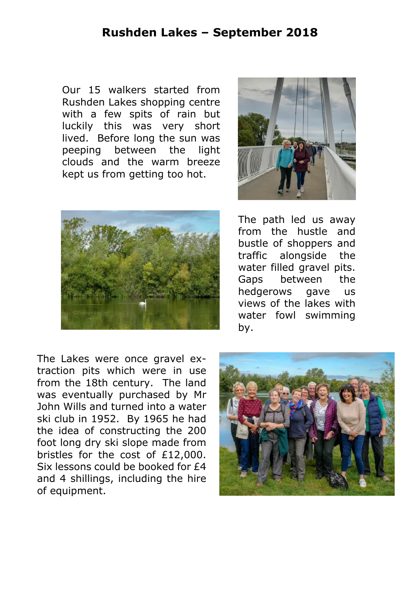## **Rushden Lakes – September 2018**

Our 15 walkers started from Rushden Lakes shopping centre with a few spits of rain but luckily this was very short lived. Before long the sun was peeping between the light clouds and the warm breeze kept us from getting too hot.





The Lakes were once gravel extraction pits which were in use from the 18th century. The land was eventually purchased by Mr John Wills and turned into a water ski club in 1952. By 1965 he had the idea of constructing the 200 foot long dry ski slope made from bristles for the cost of £12,000. Six lessons could be booked for £4 and 4 shillings, including the hire of equipment.

The path led us away from the hustle and bustle of shoppers and traffic alongside the water filled gravel pits. Gaps between the hedgerows gave us views of the lakes with water fowl swimming by.